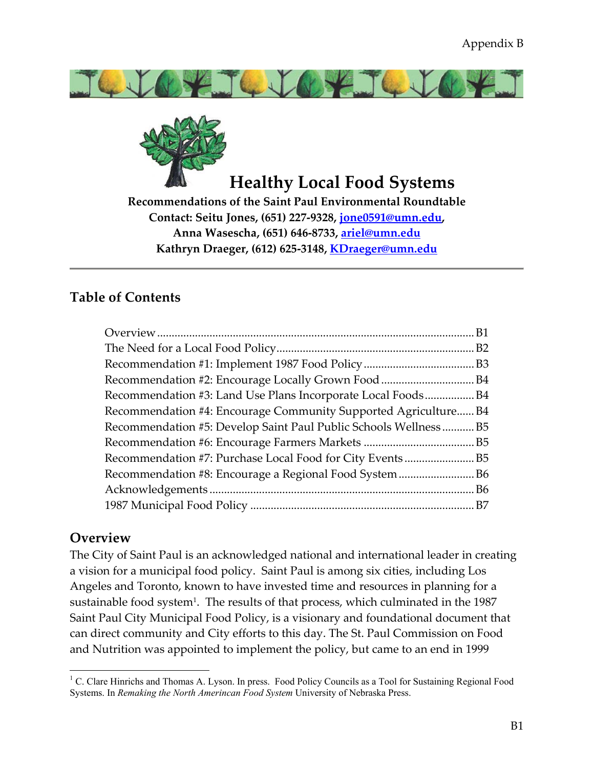



# **Healthy Local Food Systems**

**Recommendations of the Saint Paul Environmental Roundtable Contact: Seitu Jones, (651) 227-9328, jone0591@umn.edu, Anna Wasescha, (651) 646-8733, ariel@umn.edu Kathryn Draeger, (612) 625-3148, KDraeger@umn.edu**

## **Table of Contents**

| Recommendation #3: Land Use Plans Incorporate Local FoodsB4     |  |
|-----------------------------------------------------------------|--|
| Recommendation #4: Encourage Community Supported Agriculture B4 |  |
| Recommendation #5: Develop Saint Paul Public Schools WellnessB5 |  |
|                                                                 |  |
|                                                                 |  |
|                                                                 |  |
|                                                                 |  |
|                                                                 |  |
|                                                                 |  |

## **Overview**

 $\overline{a}$ 

The City of Saint Paul is an acknowledged national and international leader in creating a vision for a municipal food policy. Saint Paul is among six cities, including Los Angeles and Toronto, known to have invested time and resources in planning for a sustainable food system<sup>1</sup>. The results of that process, which culminated in the 1987 Saint Paul City Municipal Food Policy, is a visionary and foundational document that can direct community and City efforts to this day. The St. Paul Commission on Food and Nutrition was appointed to implement the policy, but came to an end in 1999

<sup>&</sup>lt;sup>1</sup> C. Clare Hinrichs and Thomas A. Lyson. In press. Food Policy Councils as a Tool for Sustaining Regional Food Systems. In *Remaking the North Amerincan Food System* University of Nebraska Press.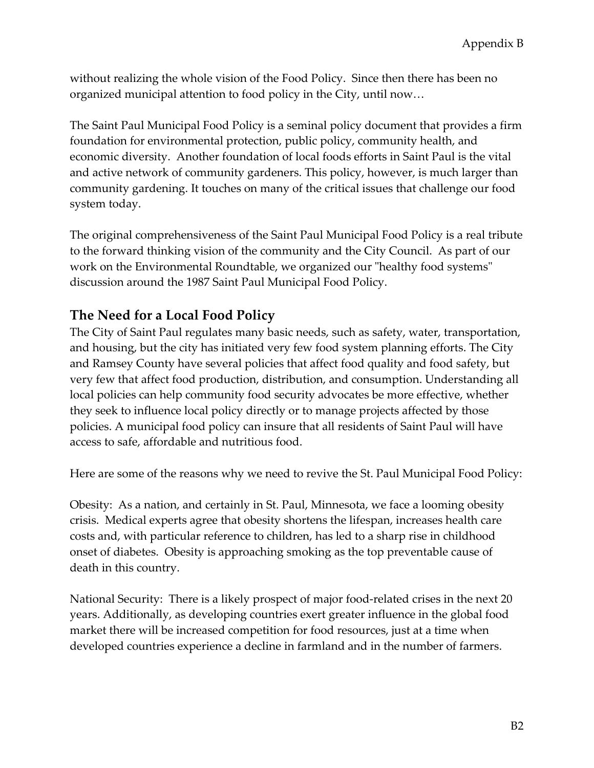without realizing the whole vision of the Food Policy. Since then there has been no organized municipal attention to food policy in the City, until now…

The Saint Paul Municipal Food Policy is a seminal policy document that provides a firm foundation for environmental protection, public policy, community health, and economic diversity. Another foundation of local foods efforts in Saint Paul is the vital and active network of community gardeners. This policy, however, is much larger than community gardening. It touches on many of the critical issues that challenge our food system today.

The original comprehensiveness of the Saint Paul Municipal Food Policy is a real tribute to the forward thinking vision of the community and the City Council. As part of our work on the Environmental Roundtable, we organized our "healthy food systems" discussion around the 1987 Saint Paul Municipal Food Policy.

## **The Need for a Local Food Policy**

The City of Saint Paul regulates many basic needs, such as safety, water, transportation, and housing, but the city has initiated very few food system planning efforts. The City and Ramsey County have several policies that affect food quality and food safety, but very few that affect food production, distribution, and consumption. Understanding all local policies can help community food security advocates be more effective, whether they seek to influence local policy directly or to manage projects affected by those policies. A municipal food policy can insure that all residents of Saint Paul will have access to safe, affordable and nutritious food.

Here are some of the reasons why we need to revive the St. Paul Municipal Food Policy:

Obesity: As a nation, and certainly in St. Paul, Minnesota, we face a looming obesity crisis. Medical experts agree that obesity shortens the lifespan, increases health care costs and, with particular reference to children, has led to a sharp rise in childhood onset of diabetes. Obesity is approaching smoking as the top preventable cause of death in this country.

National Security: There is a likely prospect of major food-related crises in the next 20 years. Additionally, as developing countries exert greater influence in the global food market there will be increased competition for food resources, just at a time when developed countries experience a decline in farmland and in the number of farmers.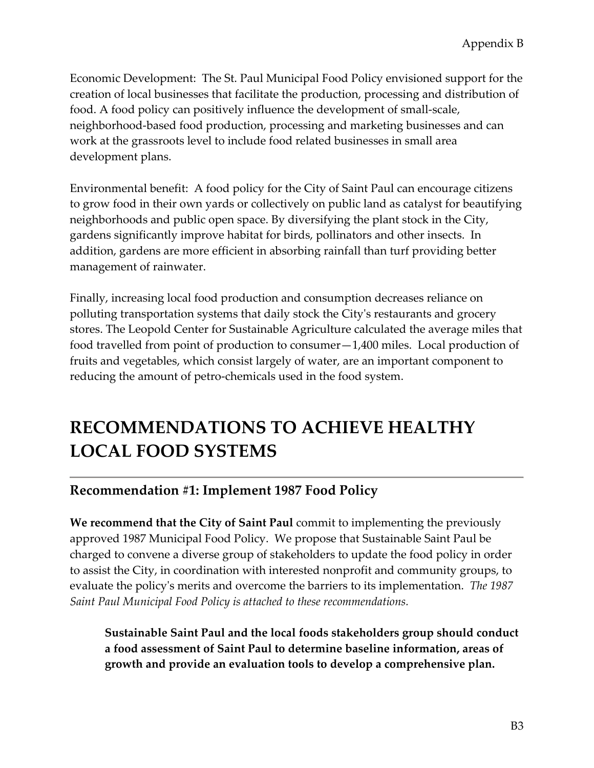Economic Development: The St. Paul Municipal Food Policy envisioned support for the creation of local businesses that facilitate the production, processing and distribution of food. A food policy can positively influence the development of small-scale, neighborhood-based food production, processing and marketing businesses and can work at the grassroots level to include food related businesses in small area development plans.

Environmental benefit: A food policy for the City of Saint Paul can encourage citizens to grow food in their own yards or collectively on public land as catalyst for beautifying neighborhoods and public open space. By diversifying the plant stock in the City, gardens significantly improve habitat for birds, pollinators and other insects. In addition, gardens are more efficient in absorbing rainfall than turf providing better management of rainwater.

Finally, increasing local food production and consumption decreases reliance on polluting transportation systems that daily stock the Cityʹs restaurants and grocery stores. The Leopold Center for Sustainable Agriculture calculated the average miles that food travelled from point of production to consumer—1,400 miles. Local production of fruits and vegetables, which consist largely of water, are an important component to reducing the amount of petro-chemicals used in the food system.

# **RECOMMENDATIONS TO ACHIEVE HEALTHY LOCAL FOOD SYSTEMS**

## **Recommendation #1: Implement 1987 Food Policy**

**We recommend that the City of Saint Paul** commit to implementing the previously approved 1987 Municipal Food Policy. We propose that Sustainable Saint Paul be charged to convene a diverse group of stakeholders to update the food policy in order to assist the City, in coordination with interested nonprofit and community groups, to evaluate the policyʹs merits and overcome the barriers to its implementation. *The 1987 Saint Paul Municipal Food Policy is attached to these recommendations.* 

**Sustainable Saint Paul and the local foods stakeholders group should conduct a food assessment of Saint Paul to determine baseline information, areas of growth and provide an evaluation tools to develop a comprehensive plan.**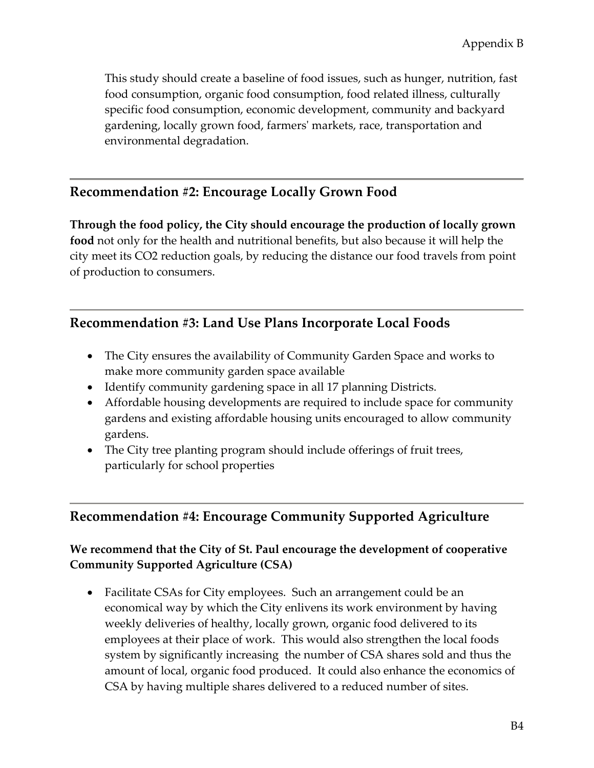This study should create a baseline of food issues, such as hunger, nutrition, fast food consumption, organic food consumption, food related illness, culturally specific food consumption, economic development, community and backyard gardening, locally grown food, farmersʹ markets, race, transportation and environmental degradation.

## **Recommendation #2: Encourage Locally Grown Food**

**Through the food policy, the City should encourage the production of locally grown food** not only for the health and nutritional benefits, but also because it will help the city meet its CO2 reduction goals, by reducing the distance our food travels from point of production to consumers.

## **Recommendation #3: Land Use Plans Incorporate Local Foods**

- The City ensures the availability of Community Garden Space and works to make more community garden space available
- Identify community gardening space in all 17 planning Districts.
- Affordable housing developments are required to include space for community gardens and existing affordable housing units encouraged to allow community gardens.
- The City tree planting program should include offerings of fruit trees, particularly for school properties

## **Recommendation #4: Encourage Community Supported Agriculture**

## **We recommend that the City of St. Paul encourage the development of cooperative Community Supported Agriculture (CSA)**

• Facilitate CSAs for City employees. Such an arrangement could be an economical way by which the City enlivens its work environment by having weekly deliveries of healthy, locally grown, organic food delivered to its employees at their place of work. This would also strengthen the local foods system by significantly increasing the number of CSA shares sold and thus the amount of local, organic food produced. It could also enhance the economics of CSA by having multiple shares delivered to a reduced number of sites.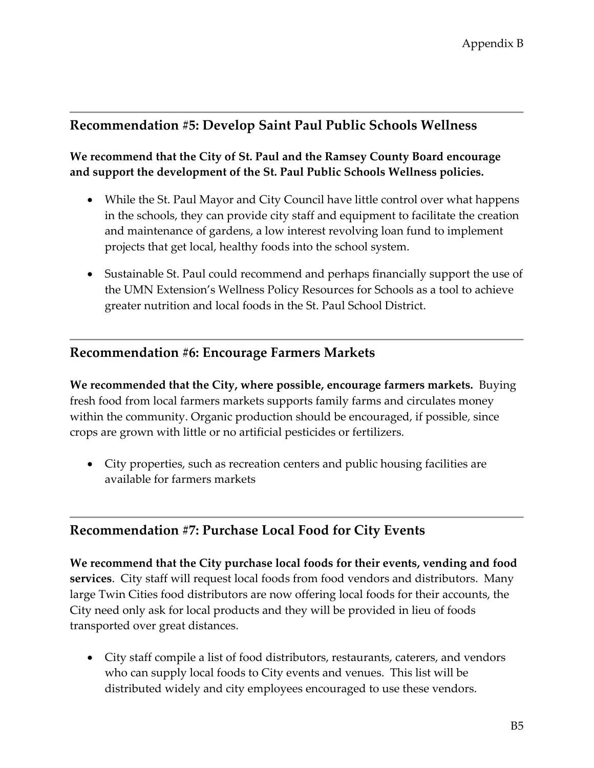## **Recommendation #5: Develop Saint Paul Public Schools Wellness**

### **We recommend that the City of St. Paul and the Ramsey County Board encourage and support the development of the St. Paul Public Schools Wellness policies.**

- While the St. Paul Mayor and City Council have little control over what happens in the schools, they can provide city staff and equipment to facilitate the creation and maintenance of gardens, a low interest revolving loan fund to implement projects that get local, healthy foods into the school system.
- Sustainable St. Paul could recommend and perhaps financially support the use of the UMN Extension's Wellness Policy Resources for Schools as a tool to achieve greater nutrition and local foods in the St. Paul School District.

## **Recommendation #6: Encourage Farmers Markets**

**We recommended that the City, where possible, encourage farmers markets.** Buying fresh food from local farmers markets supports family farms and circulates money within the community. Organic production should be encouraged, if possible, since crops are grown with little or no artificial pesticides or fertilizers.

• City properties, such as recreation centers and public housing facilities are available for farmers markets

## **Recommendation #7: Purchase Local Food for City Events**

**We recommend that the City purchase local foods for their events, vending and food services**. City staff will request local foods from food vendors and distributors. Many large Twin Cities food distributors are now offering local foods for their accounts, the City need only ask for local products and they will be provided in lieu of foods transported over great distances.

• City staff compile a list of food distributors, restaurants, caterers, and vendors who can supply local foods to City events and venues. This list will be distributed widely and city employees encouraged to use these vendors.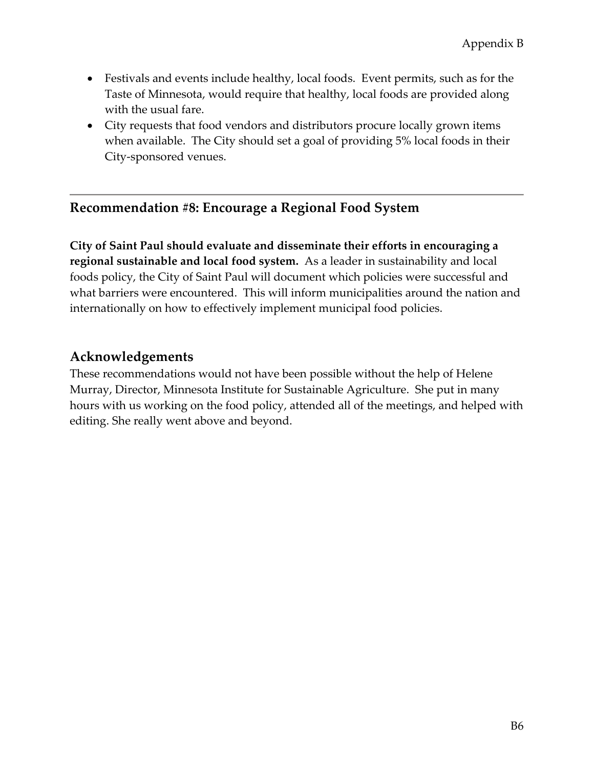- Festivals and events include healthy, local foods. Event permits, such as for the Taste of Minnesota, would require that healthy, local foods are provided along with the usual fare.
- City requests that food vendors and distributors procure locally grown items when available. The City should set a goal of providing 5% local foods in their City-sponsored venues.

## **Recommendation #8: Encourage a Regional Food System**

**City of Saint Paul should evaluate and disseminate their efforts in encouraging a regional sustainable and local food system.** As a leader in sustainability and local foods policy, the City of Saint Paul will document which policies were successful and what barriers were encountered. This will inform municipalities around the nation and internationally on how to effectively implement municipal food policies.

## **Acknowledgements**

These recommendations would not have been possible without the help of Helene Murray, Director, Minnesota Institute for Sustainable Agriculture. She put in many hours with us working on the food policy, attended all of the meetings, and helped with editing. She really went above and beyond.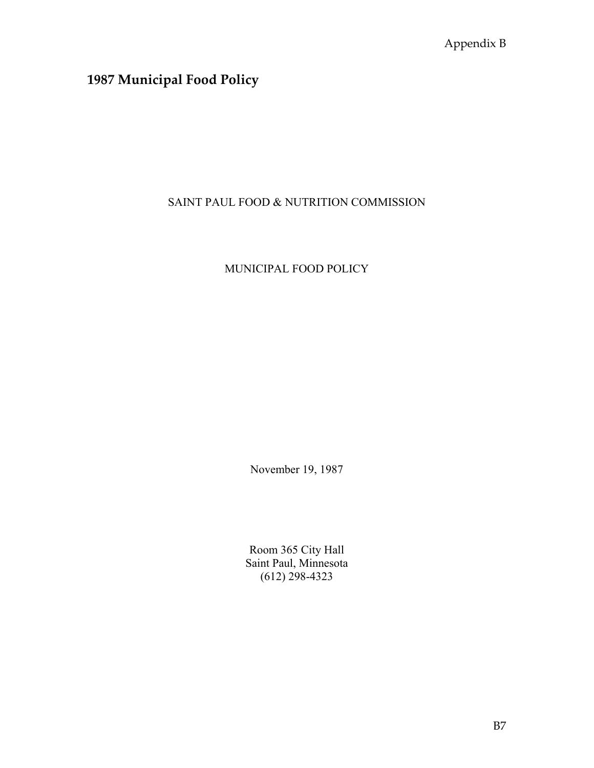## **1987 Municipal Food Policy**

## SAINT PAUL FOOD & NUTRITION COMMISSION

## MUNICIPAL FOOD POLICY

November 19, 1987

Room 365 City Hall Saint Paul, Minnesota (612) 298-4323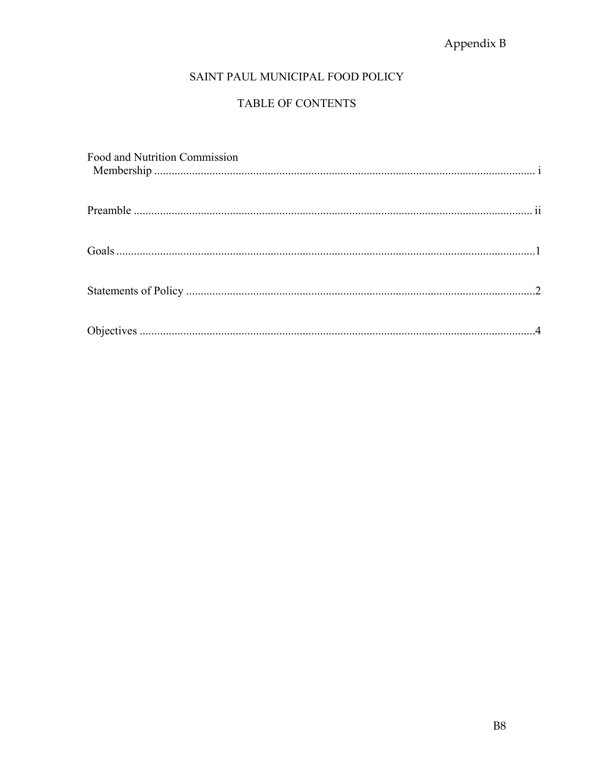## Appendix B

## SAINT PAUL MUNICIPAL FOOD POLICY

## TABLE OF CONTENTS

| Food and Nutrition Commission |  |
|-------------------------------|--|
|                               |  |
|                               |  |
|                               |  |
|                               |  |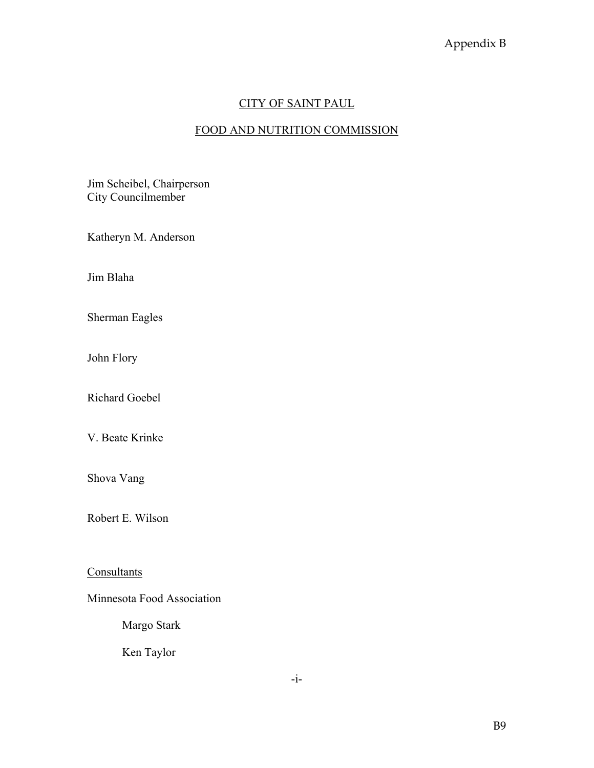## CITY OF SAINT PAUL

## FOOD AND NUTRITION COMMISSION

Jim Scheibel, Chairperson City Councilmember

Katheryn M. Anderson

Jim Blaha

Sherman Eagles

John Flory

Richard Goebel

V. Beate Krinke

Shova Vang

Robert E. Wilson

**Consultants** 

Minnesota Food Association

Margo Stark

Ken Taylor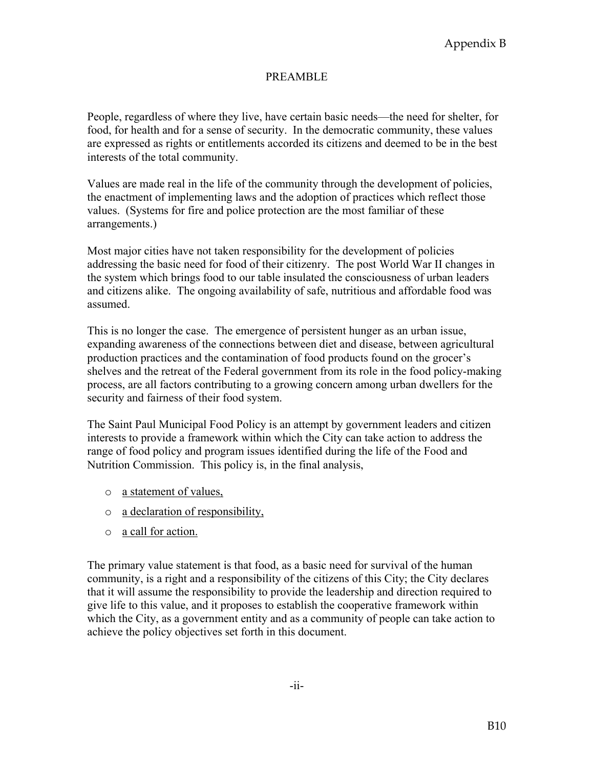#### PREAMBLE

People, regardless of where they live, have certain basic needs—the need for shelter, for food, for health and for a sense of security. In the democratic community, these values are expressed as rights or entitlements accorded its citizens and deemed to be in the best interests of the total community.

Values are made real in the life of the community through the development of policies, the enactment of implementing laws and the adoption of practices which reflect those values. (Systems for fire and police protection are the most familiar of these arrangements.)

Most major cities have not taken responsibility for the development of policies addressing the basic need for food of their citizenry. The post World War II changes in the system which brings food to our table insulated the consciousness of urban leaders and citizens alike. The ongoing availability of safe, nutritious and affordable food was assumed.

This is no longer the case. The emergence of persistent hunger as an urban issue, expanding awareness of the connections between diet and disease, between agricultural production practices and the contamination of food products found on the grocer's shelves and the retreat of the Federal government from its role in the food policy-making process, are all factors contributing to a growing concern among urban dwellers for the security and fairness of their food system.

The Saint Paul Municipal Food Policy is an attempt by government leaders and citizen interests to provide a framework within which the City can take action to address the range of food policy and program issues identified during the life of the Food and Nutrition Commission. This policy is, in the final analysis,

- o a statement of values,
- o a declaration of responsibility,
- o a call for action.

The primary value statement is that food, as a basic need for survival of the human community, is a right and a responsibility of the citizens of this City; the City declares that it will assume the responsibility to provide the leadership and direction required to give life to this value, and it proposes to establish the cooperative framework within which the City, as a government entity and as a community of people can take action to achieve the policy objectives set forth in this document.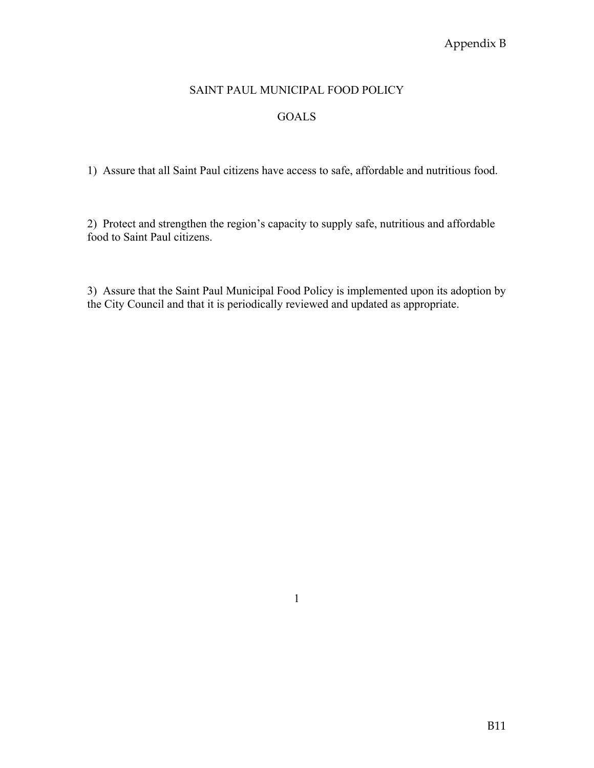## Appendix B

#### SAINT PAUL MUNICIPAL FOOD POLICY

#### GOALS

1) Assure that all Saint Paul citizens have access to safe, affordable and nutritious food.

2) Protect and strengthen the region's capacity to supply safe, nutritious and affordable food to Saint Paul citizens.

3) Assure that the Saint Paul Municipal Food Policy is implemented upon its adoption by the City Council and that it is periodically reviewed and updated as appropriate.

1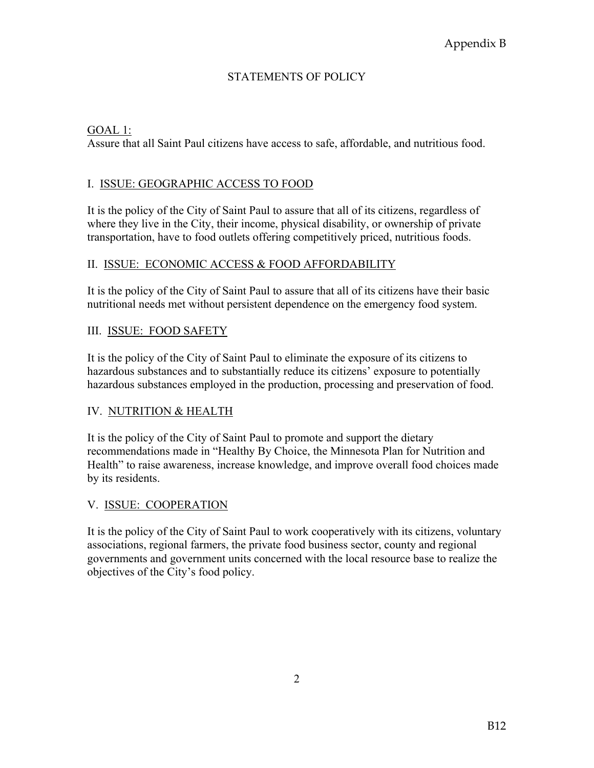#### STATEMENTS OF POLICY

#### GOAL 1:

Assure that all Saint Paul citizens have access to safe, affordable, and nutritious food.

#### I. ISSUE: GEOGRAPHIC ACCESS TO FOOD

It is the policy of the City of Saint Paul to assure that all of its citizens, regardless of where they live in the City, their income, physical disability, or ownership of private transportation, have to food outlets offering competitively priced, nutritious foods.

#### II. ISSUE: ECONOMIC ACCESS & FOOD AFFORDABILITY

It is the policy of the City of Saint Paul to assure that all of its citizens have their basic nutritional needs met without persistent dependence on the emergency food system.

#### III. ISSUE: FOOD SAFETY

It is the policy of the City of Saint Paul to eliminate the exposure of its citizens to hazardous substances and to substantially reduce its citizens' exposure to potentially hazardous substances employed in the production, processing and preservation of food.

#### IV. NUTRITION & HEALTH

It is the policy of the City of Saint Paul to promote and support the dietary recommendations made in "Healthy By Choice, the Minnesota Plan for Nutrition and Health" to raise awareness, increase knowledge, and improve overall food choices made by its residents.

#### V. ISSUE: COOPERATION

It is the policy of the City of Saint Paul to work cooperatively with its citizens, voluntary associations, regional farmers, the private food business sector, county and regional governments and government units concerned with the local resource base to realize the objectives of the City's food policy.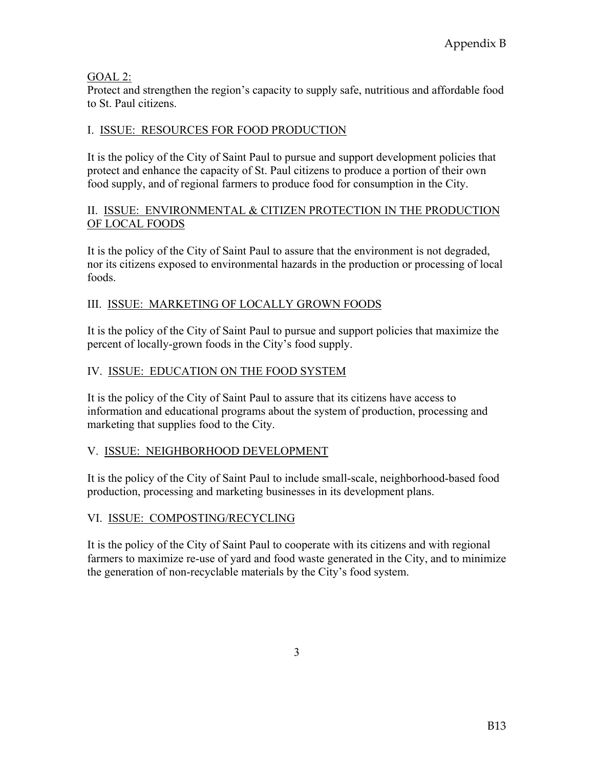#### GOAL 2:

Protect and strengthen the region's capacity to supply safe, nutritious and affordable food to St. Paul citizens.

## I. ISSUE: RESOURCES FOR FOOD PRODUCTION

It is the policy of the City of Saint Paul to pursue and support development policies that protect and enhance the capacity of St. Paul citizens to produce a portion of their own food supply, and of regional farmers to produce food for consumption in the City.

#### II. ISSUE: ENVIRONMENTAL & CITIZEN PROTECTION IN THE PRODUCTION OF LOCAL FOODS

It is the policy of the City of Saint Paul to assure that the environment is not degraded, nor its citizens exposed to environmental hazards in the production or processing of local foods.

## III. ISSUE: MARKETING OF LOCALLY GROWN FOODS

It is the policy of the City of Saint Paul to pursue and support policies that maximize the percent of locally-grown foods in the City's food supply.

## IV. ISSUE: EDUCATION ON THE FOOD SYSTEM

It is the policy of the City of Saint Paul to assure that its citizens have access to information and educational programs about the system of production, processing and marketing that supplies food to the City.

## V. ISSUE: NEIGHBORHOOD DEVELOPMENT

It is the policy of the City of Saint Paul to include small-scale, neighborhood-based food production, processing and marketing businesses in its development plans.

## VI. ISSUE: COMPOSTING/RECYCLING

It is the policy of the City of Saint Paul to cooperate with its citizens and with regional farmers to maximize re-use of yard and food waste generated in the City, and to minimize the generation of non-recyclable materials by the City's food system.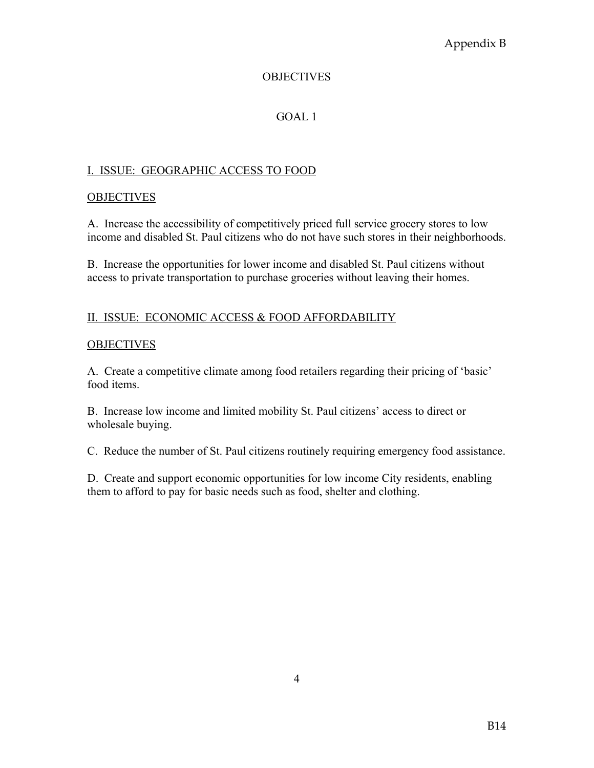## Appendix B

#### **OBJECTIVES**

#### GOAL 1

#### I. ISSUE: GEOGRAPHIC ACCESS TO FOOD

#### **OBJECTIVES**

A. Increase the accessibility of competitively priced full service grocery stores to low income and disabled St. Paul citizens who do not have such stores in their neighborhoods.

B. Increase the opportunities for lower income and disabled St. Paul citizens without access to private transportation to purchase groceries without leaving their homes.

#### II. ISSUE: ECONOMIC ACCESS & FOOD AFFORDABILITY

#### **OBJECTIVES**

A. Create a competitive climate among food retailers regarding their pricing of 'basic' food items.

B. Increase low income and limited mobility St. Paul citizens' access to direct or wholesale buying.

C. Reduce the number of St. Paul citizens routinely requiring emergency food assistance.

D. Create and support economic opportunities for low income City residents, enabling them to afford to pay for basic needs such as food, shelter and clothing.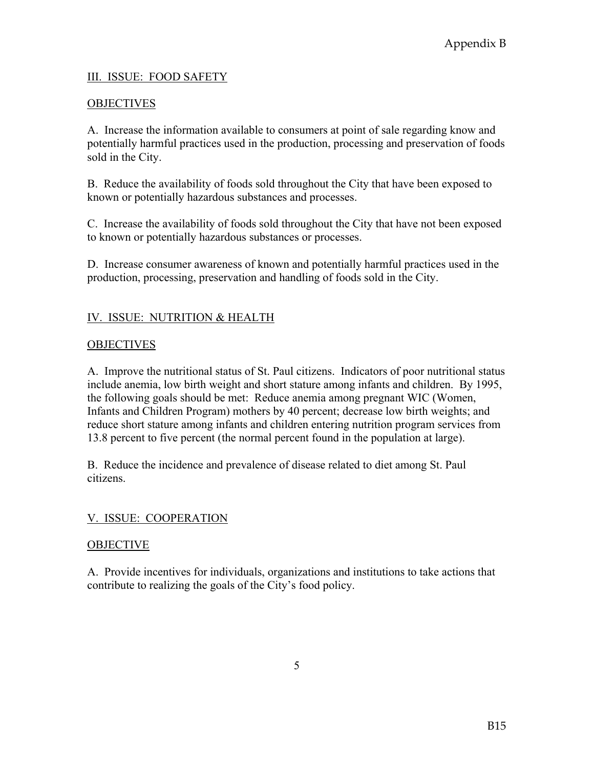#### III. ISSUE: FOOD SAFETY

#### **OBJECTIVES**

A. Increase the information available to consumers at point of sale regarding know and potentially harmful practices used in the production, processing and preservation of foods sold in the City.

B. Reduce the availability of foods sold throughout the City that have been exposed to known or potentially hazardous substances and processes.

C. Increase the availability of foods sold throughout the City that have not been exposed to known or potentially hazardous substances or processes.

D. Increase consumer awareness of known and potentially harmful practices used in the production, processing, preservation and handling of foods sold in the City.

#### IV. ISSUE: NUTRITION & HEALTH

#### **OBJECTIVES**

A. Improve the nutritional status of St. Paul citizens. Indicators of poor nutritional status include anemia, low birth weight and short stature among infants and children. By 1995, the following goals should be met: Reduce anemia among pregnant WIC (Women, Infants and Children Program) mothers by 40 percent; decrease low birth weights; and reduce short stature among infants and children entering nutrition program services from 13.8 percent to five percent (the normal percent found in the population at large).

B. Reduce the incidence and prevalence of disease related to diet among St. Paul citizens.

#### V. ISSUE: COOPERATION

#### **OBJECTIVE**

A. Provide incentives for individuals, organizations and institutions to take actions that contribute to realizing the goals of the City's food policy.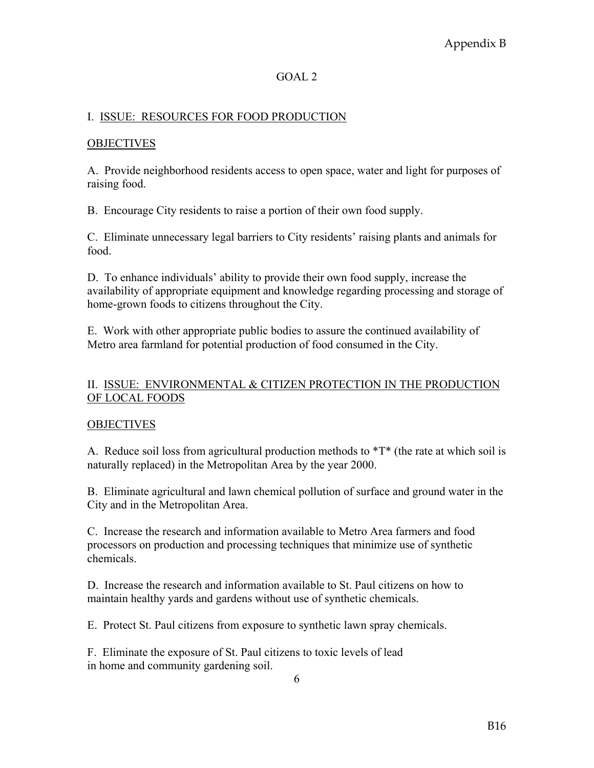#### GOAL 2

#### I. ISSUE: RESOURCES FOR FOOD PRODUCTION

#### **OBJECTIVES**

A. Provide neighborhood residents access to open space, water and light for purposes of raising food.

B. Encourage City residents to raise a portion of their own food supply.

C. Eliminate unnecessary legal barriers to City residents' raising plants and animals for food.

D. To enhance individuals' ability to provide their own food supply, increase the availability of appropriate equipment and knowledge regarding processing and storage of home-grown foods to citizens throughout the City.

E. Work with other appropriate public bodies to assure the continued availability of Metro area farmland for potential production of food consumed in the City.

#### II. ISSUE: ENVIRONMENTAL & CITIZEN PROTECTION IN THE PRODUCTION OF LOCAL FOODS

#### **OBJECTIVES**

A. Reduce soil loss from agricultural production methods to  $T^*$  (the rate at which soil is naturally replaced) in the Metropolitan Area by the year 2000.

B. Eliminate agricultural and lawn chemical pollution of surface and ground water in the City and in the Metropolitan Area.

C. Increase the research and information available to Metro Area farmers and food processors on production and processing techniques that minimize use of synthetic chemicals.

D. Increase the research and information available to St. Paul citizens on how to maintain healthy yards and gardens without use of synthetic chemicals.

E. Protect St. Paul citizens from exposure to synthetic lawn spray chemicals.

F. Eliminate the exposure of St. Paul citizens to toxic levels of lead in home and community gardening soil.